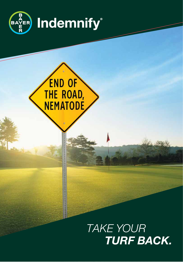

# END OF<br>THE ROAD,<br>NEMATODE

# *TAKE YOUR TURF BACK.*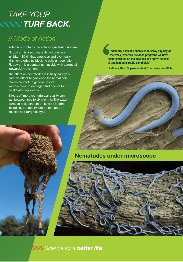## *TAKE YOUR IIIIIIIIIIIIIIIIIII TURF BACK.*

## // *Mode of Action*

Indemnify contains the active ingredient Fluopyram.

Fluopyram is a succinate dehydrogenase inhibitor (SDHI) that paralyzes and eventually kills nematodes by blocking cellular respiration. Fluopyram is a contact nematicide with acropetal (upwards) movement.

The effect on nematodes is initially paralysis and this effect begins once the nematicide makes contact. In general, visual improvement to damaged turf occurs four weeks after application.

Effects of improved turfgrass quality can last between two to six months. The exact duration is dependent on several factors including, but not limited to, nematode species and turfgrass type.

**Indemnify basically allows us to spray any day of the week, whereas previous programs we have been restricted on the days we can spray, so ease of application is really beneficial."** 

**Anthony Mills, Superintendent, The Lakes Golf Club**

## **Nematodes under microscope**



**WINNING** Science for a **better life**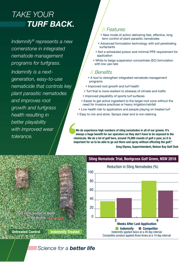# *TAKE YOUR TURF BACK.*

*Indemnify® represents a new cornerstone in integrated nematode management programs for turfgrass.*

*Indemnify is a nextgeneration, easy-to-use nematicide that controls key plant parasitic nematodes and improves root growth and turfgrass health resulting in better playability with improved wear tolerance.*

## // *Features*

- New mode of action delivering fast, effective, long term control of plant parasitic nematodes
- Advanced formulation technology with soil penetrating surfactants
- Not a scheduled poison and minimal PPE requirement for application
- White to beige suspension concentrate (SC) formulation with low use rate

## // *Benefits*

- A tool to strengthen integrated nematode management programs
- Improved root growth and turf health
- Turf that is more resilient to stresses of climate and traffic
- Improved playability of sports turf surfaces
- Easier to get active ingredient to the target root zone without the need for invasive practices or heavy irrigation/rainfall
- Low health risk to applicators and people playing on treated turf
- Easy to mix and store. Sprays clear and is non-staining

**We do experience high numbers of sting nematodes in all of our greens. It's always a huge benefit for our operators as they don't have to be exposed to the chemicals. We do a lot of golf here, around 75,000 rounds of golf a year, so it is important for us to be able to go out there and spray without affecting the golf."** 

**Greg Stynes, Superintendent, Nelson Bay Golf Club**



**Untreated Control Indemnify Treated**

### **Sting Nematode Trial, Bentgrass Golf Green, NSW 2018**

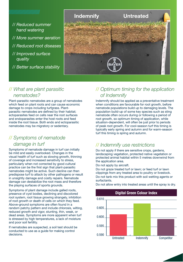- *// Reduced summer hand watering*
- *// More summer aeration*
- *// Reduced root diseases*
- *// Improved surface quality*
- *// Better surface stability*



## // *What are plant parasitic nematodes?*

Plant-parasitic nematodes are a group of nematodes which feed on plant roots and can cause economic damage to crops including turfgrass. Plantparasitic nematodes are defined by their habitat; ectoparasites feed on cells near the root surfaces and endoparasites enter the host roots and feed inside the root tissue. Both endo and ectoparasitic 600 nematodes may be migratory or sedentary.

## // *Symptoms of nematode damage in turf*

Symptoms of nematode damage in turf can initially be mild and easily overlooked. Changes in the visual health of turf such as slowing growth, thinning of coverage and increased sensitivity to stress, particularly when not corrected by good cultural practice can be the first sign that plant-parasitic nematodes might be active. Such decline can then predispose turf to attack by other pathogens or result in unsightly damage and costly repairs. Nematode damage can destabilize the root mass and therefore the playing surfaces of sports grounds.

Symptoms of plant damage include galled roots, presence of cyst bodies, declining and discolored root system, root tissue growing strangely, inhibition of root growth or death of cells on which they feed. Above-ground symptoms are often found in a random patchy pattern and include chlorosis, wilting, reduced growth and vigor, stunting, thin, weak, or dead areas. Symptoms are more apparent when turf is stressed by high temperatures, a lack of moisture and poor soil fertility.

If nematodes are suspected, a soil test should be conducted to use as a guide for making control decisions.

## // *Optimum timing for the application of Indemnify*

Indemnify should be applied as a preventative treatment when conditions are favourable for root growth, before nematode populations build up to damaging levels. The population build-up of some key species such as sting nematode often occurs during or following a period of root growth, so optimum timing of application, while situation-dependent, will often be just prior to periods of peak root growth. For cool-season turf this timing is typically early spring and autumn and for warm-season turf this timing is spring and autumn.

## // *Indemnify use restrictions*

Do not apply if there are sensitive crops, gardens, landscaping vegetation, protected native vegetation or protected animal habitat within 5 metres downwind from the application area.

Do not apply by aircraft.

Do not graze treated turf or lawn; or feed turf or lawn clippings from any treated area to poultry or livestock. Do not tank mix this product with soil wetting agents or surfactants.

Do not allow entry into treated areas until the spray is dry.

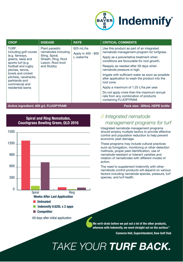

| <b>CROP</b>                                                                                                                                                                                                                                       | <b>DISEASE</b>                                                                                                    | <b>RATE</b>                                             | <b>CRITICAL COMMENTS</b>                                                                                                                                                                                                                                                                                                                                                                                                                                                                                                             |
|---------------------------------------------------------------------------------------------------------------------------------------------------------------------------------------------------------------------------------------------------|-------------------------------------------------------------------------------------------------------------------|---------------------------------------------------------|--------------------------------------------------------------------------------------------------------------------------------------------------------------------------------------------------------------------------------------------------------------------------------------------------------------------------------------------------------------------------------------------------------------------------------------------------------------------------------------------------------------------------------------|
| <b>TURF</b><br>including golf coures<br>(e.g. fairways,<br>greens, tees) and<br>sports turf (e.g.<br>football and rugby<br>pitches, tennis,<br>bowls and cricket<br>pitches), racetracks,<br>parklands and<br>commercial and<br>residential lawns | Plant parasitic<br>nematodes including<br>Sting, Spiral,<br>Sheath, Ring, Root<br>Lesion, Root-knot<br>and Stubby | $625 \text{ mL/ha}$<br>Apply in 400 - 800<br>L water/ha | Use this product as part of an integrated<br>nematode management program for turfgrass.<br>Apply as a preventative treatment when<br>conditions are favourable for root growth.<br>Reapply as needed after 28 days when<br>nematode pressure is high.<br>Irrigate with sufficient water as soon as possible<br>after application to wash the product into the<br>root zone.<br>Apply a maximum of 1.25 L/ha per year.<br>Do not apply more than the maximum annual<br>rate from any combination of products<br>containing FLUOPYRAM. |
| Active ingredient: 400 g/L FLUOPYRAM                                                                                                                                                                                                              |                                                                                                                   |                                                         | Pack size: 500mL HDPE bottle                                                                                                                                                                                                                                                                                                                                                                                                                                                                                                         |



**n** Competitor

69 days after initial application

0.600

## // *Integrated nematode management programs for turf*

Integrated nematode management programs should employ multiple tactics to provide effective control and population reduction to help prevent economic pest damage.

These programs may include cultural practices such as fumigation, monitoring or other detection methods, proper pest identification, use of nematode-resistant or tolerant varieties and rotation of nematicides with different modes of action.

The need to supplement Indemnify with other nematode control products will depend on various factors including nematode species, pressure, turf species, and turf health.

**We verti-drain before we put out a lot of the other products, whereas with Indemnify, we went straight out on the surface."** 

**Cameron Hall, Superintendent, Kew Golf Club**

# *TAKE YOUR TURF BACK.*

**Spiral and Ring Nematodes, Couchgrass Bowling Green, QLD 2016**